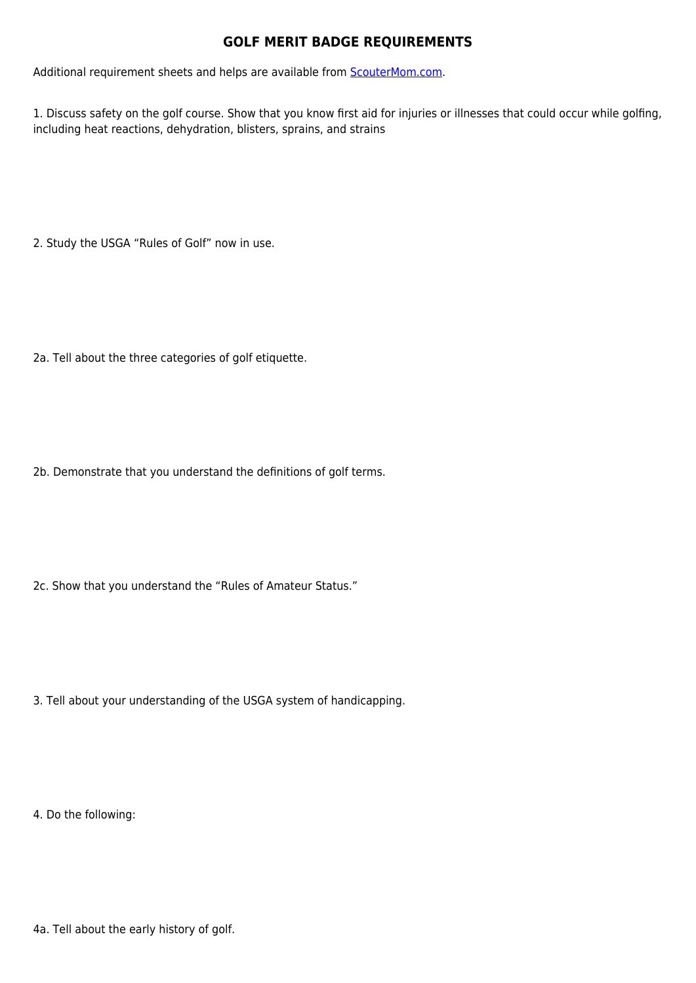## **GOLF MERIT BADGE REQUIREMENTS**

Additional requirement sheets and helps are available from **[ScouterMom.com](http://scoutermom.com).** 

1. Discuss safety on the golf course. Show that you know first aid for injuries or illnesses that could occur while golfing, including heat reactions, dehydration, blisters, sprains, and strains

2. Study the USGA "Rules of Golf" now in use.

2a. Tell about the three categories of golf etiquette.

2b. Demonstrate that you understand the definitions of golf terms.

2c. Show that you understand the "Rules of Amateur Status."

3. Tell about your understanding of the USGA system of handicapping.

4. Do the following: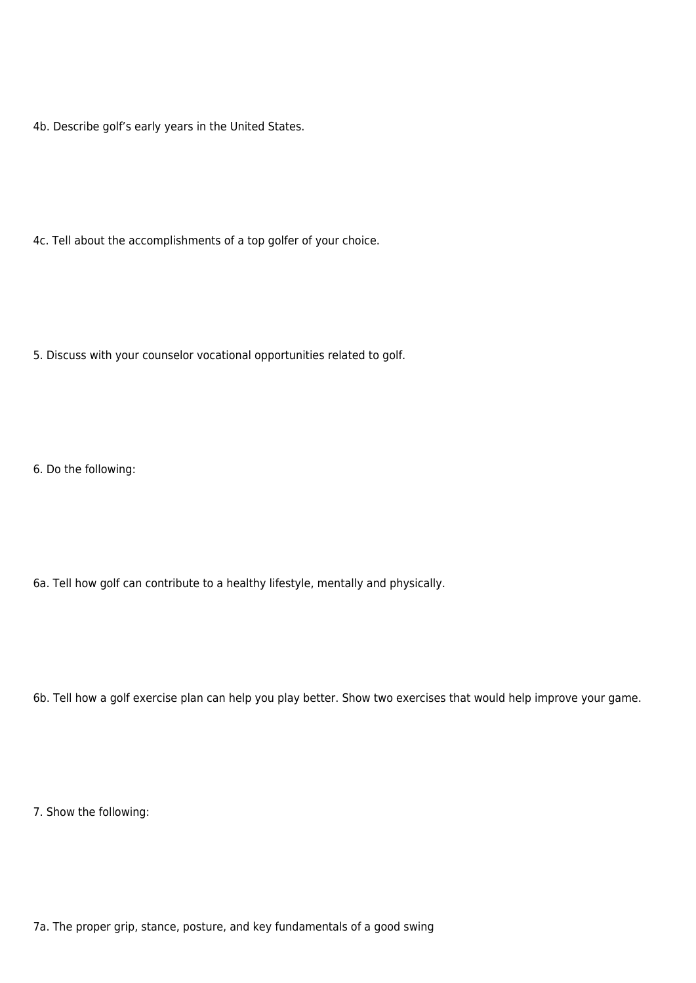4b. Describe golf's early years in the United States.

4c. Tell about the accomplishments of a top golfer of your choice.

5. Discuss with your counselor vocational opportunities related to golf.

6. Do the following:

6a. Tell how golf can contribute to a healthy lifestyle, mentally and physically.

6b. Tell how a golf exercise plan can help you play better. Show two exercises that would help improve your game.

7. Show the following:

7a. The proper grip, stance, posture, and key fundamentals of a good swing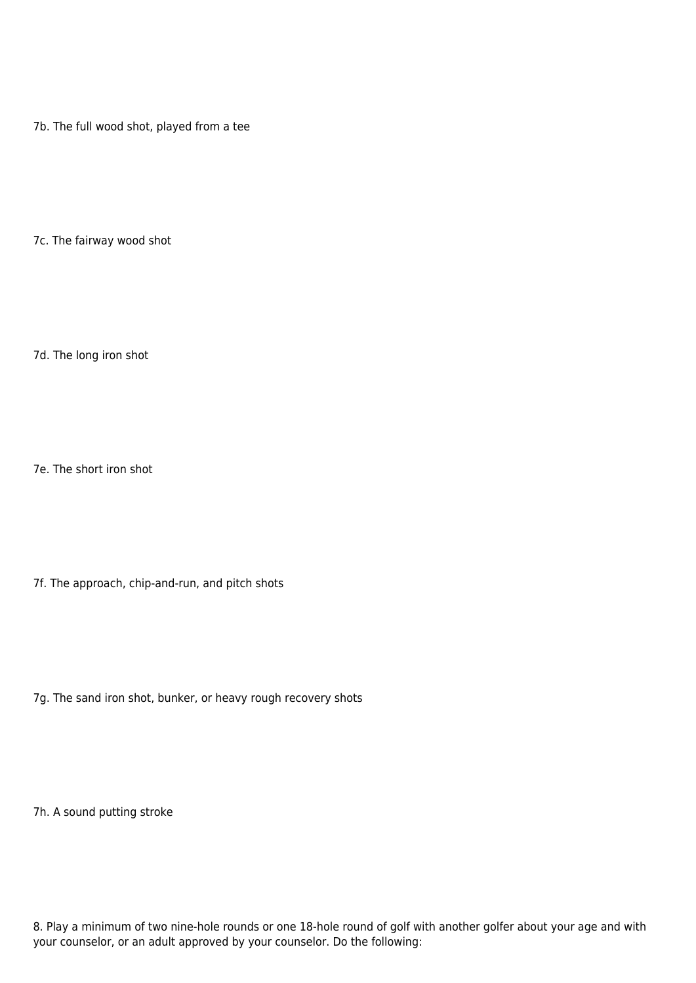7b. The full wood shot, played from a tee

7c. The fairway wood shot

7d. The long iron shot

7e. The short iron shot

7f. The approach, chip-and-run, and pitch shots

7g. The sand iron shot, bunker, or heavy rough recovery shots

7h. A sound putting stroke

8. Play a minimum of two nine-hole rounds or one 18-hole round of golf with another golfer about your age and with your counselor, or an adult approved by your counselor. Do the following: